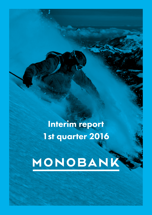Interim report 1st quarter 2016

# MONOBANK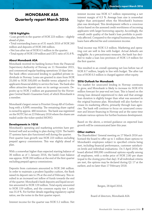## MONOBANK ASA Quarterly report March 2016

#### 1Q16 highlights

• Loan growth in the quarter of NOK 223 million – slightly ahead of plan.

• Total outstanding loans as of 31 march 2016 of NOK 260 million and deposits of NOK 246 million.

• Net loss after tax of NOK 6.5 million in the quarter.

• Total equity of NOK 159 million and CET1 ratio of 31.8 %.

#### About Monobank ASA

Monobank received its banking licence from the Financial Supervisory Authority of Norway on 11 November 2015, and commenced regular banking operations 10 days later. The bank offers unsecured lending to qualified private individuals in Norway. Loans are granted in sizes from NOK 25,000 to NOK 500,000 on flexible terms adapted to the applicants financial ability to service the loan. The bank also offers attractive deposit rates on its savings accounts. Deposits up to NOK 2 million are guaranteed by the Norwegian Central Bank's Guarantee fund, of which Monobank is a member.

Monobank's largest owner is Prioritet Group AB of Gothenburg with a 9,99% ownership. The remaining share capital is owned by approx. 480 investors. The bank was registered on the NOTC list on 22 February 2016 where the shares are traded under the ticker symbol MONO.

#### Developments in 1Q16

Monobank's operating and marketing activities have performed well and according to plan during 1Q16. The bank's IT systems have also functioned well during the quarter.

First quarter loan growth was NOK 223 million excluding prepaid agency commissions. This was slightly ahead of plan.

With a somewhat higher than expected starting balance of 36 million as of 1 January 2016, the bank's loan balance was approx. NOK 260 million at the end of the first quarter excluding prepaid agency commissions.

Deposits from customers amounted to NOK 246 million. In order to maintain a prudent liquidity cushion, the Bank raised its deposit rate to 2% at the end of February. This resulted in an increased net inflow of funds towards the end of the quarter. Monobank's bank deposits and liquid securities amounted to NOK 129 million. Total equity amounted to NOK 159 million, and the common equity tier 1 ratio was 31.8 %. For further details regarding regulatory capital ratios, see the notes in the first quarter report.

Interest income for the quarter was NOK 5.2 million. Net

interest income was NOK 4.7 million representing a net interest margin of 6.3 %. Average loan size is somewhat higher than anticipated when the Monobank's business plan was developed. This development reflects a conscious choice based on the assessed credit worthiness of incoming applicants with larger borrowing capacity. Accordingly, the overall credit quality of the bank's loan portfolio is positively affected. Compared to the original business plan, fewer loans have affected fee and commission income.

Total income was NOK 5.3 million. Marketing and operating cost are well in line with budget. Actual defaults are negligible. As a precautionary measure, the bank has decided to make a loan loss provision of NOK 1.9 million for the first quarter.

This resulted in an overall operating net loss before tax of NOK 8.7 million, largely in line with budget. The after tax loss of NOK 6.5 million is charged against other equity.

#### 2016 Outlook for Monobank

The market for unsecured lending in Norway continues to grow, and Monobank is likely to increase its NOK 674 million forecast for year-end net loan. This is based on the strong loan demand experienced to date and that average loan duration is slightly longer than what was assumed in the original business plan. Monobank will also further increase its marketing efforts, primarily through loan agencies. The bank will continue to focus on unsecured consumer and leisure financing in Norway and at the same time evaluate various options for further business development.

Based on the above, a revised guidance on expected loan growth will be communicated later this year.

#### Other matters

The Shareholders' General meeting on 17 March 2016 authorized the board to offer up to 1 million share options to Monobank's employees subject to specified criteria being met, including financial performance, customer satisfaction levels and individual evaluations. On 5 April 2016, the board allotted 999,990 conditional options equally among all employees, with a strike price of NOK 2.80 per share (equal to the closing price that day). If all individual criteria are met, the options may be declared during Q1 17 at the earliest, and no later than 17 February 2018.

Bergen, 28 April 2016.

Board of directors, Monobank ASA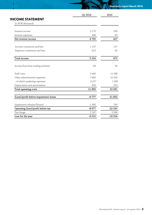|                                        | Q1 2016 | 2015     |
|----------------------------------------|---------|----------|
| <b>INCOME STATEMENT</b>                |         |          |
| In NOK thousands                       |         |          |
|                                        |         |          |
| Interest income                        | 5 1 7 5 | 509      |
| Interest expenses                      | 446     | 83       |
| Net interest income                    | 4 7 3 0 | 427      |
| Income comissions and fees             | 1 1 3 7 | 127      |
| Expenses comissions and fees           | 612     | 82       |
| Total income                           | 5 2 5 4 | 472      |
| Income/loss from trading activities    | -69     | 39       |
| Staff costs                            | 3460    | 11 088   |
| Other administrative expenses          | 7883    | 10 3 33  |
| - of which marketing expenses          | 4237    | 1308     |
| Depreciation and amortisation          | 620     | 910      |
| Total operating costs                  | 11 963  | 22 331   |
| (Loss)/profit before impairment losses | $-6777$ | $-21820$ |
| Impairment releases/(losses)           | $-1900$ | $-700$   |
| Operating (loss)/profit before tax     | $-8677$ | $-22520$ |
| Tax charge                             | 2 1 6 7 | 5996     |
| Loss for the year                      | $-6510$ | $-16524$ |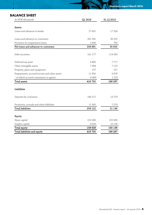## BALANCE SHEET

| In NOK thousands                             | Q1 2016 | 31.12.2015 |
|----------------------------------------------|---------|------------|
|                                              |         |            |
| Assets                                       |         |            |
| Loans and advances to banks                  | 27631   | 17 204     |
|                                              |         |            |
| Loans and advances to customers              | 261 281 | 36 325     |
| Provision for impairment losses              | 2600    | 700        |
| Net loans and advances to customers          | 258 681 | 35 625     |
|                                              |         |            |
| Debt securities                              | 101 177 | 114 583    |
|                                              |         |            |
| Deferred tax asset                           | 9885    | 7717       |
| Other intangible assets                      | 7384    | 7123       |
| Property, plant and equipment                | 137     | 157        |
| Prepayments, accrued income and other assets | 11855   | 3878       |
| - of which accrued commission to agents      | 8969    | 1525       |
| Total assets                                 | 416 750 | 186 287    |
|                                              |         |            |
| Liabilities                                  |         |            |
| Deposits by customers                        | 246 217 | 13579      |
|                                              |         |            |
| Provisions, acrruals and other liabilities   | 11 905  | 7570       |
| <b>Total liabilities</b>                     | 258 122 | 21 1 49    |
|                                              |         |            |
| Equity                                       |         |            |
| Share capital                                | 155 000 | 155 000    |
| Surplus capital                              | 3628    | 10 138     |
| Total equity                                 | 158 628 | 165 138    |
| Total liabilities and equity                 | 416 750 | 186 287    |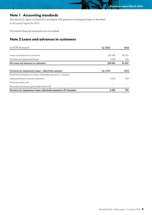## Note 1 Accounting standards

Monobank Q1 report is prepared in accordance with general accounting principles as described in the annual report for 2015

The interim financial statements are not audited.

## Note 2 Loans and advances to customers

| In NOK thousands                                                     | Q1 2016 | 2015   |
|----------------------------------------------------------------------|---------|--------|
|                                                                      |         |        |
| Loans and advances to customers                                      | 261 281 | 36 155 |
| Provision for impairment losses                                      | 2600    | 700    |
| Net loans and advances to customers                                  | 258 681 | 35 455 |
|                                                                      |         |        |
| Provision for impairment losses - collectively assessed              | Q1 2016 | 2015   |
| Provision for impairment losses collectively assessed at 1 January   |         |        |
| (Releases)/losses to income statement                                | 2600    | 700    |
| Amounts written off                                                  |         |        |
| Recoveries of amounts previously written-off                         |         |        |
| Provision for impairment losses collectively assessed at 31 December | 2600    | 700    |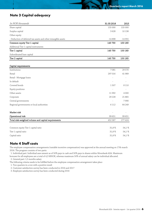## Note 3 Capital adequacy

| In NOK thousands                                               | 31.03.2016 | 2015     |
|----------------------------------------------------------------|------------|----------|
| Share capital                                                  | 155 000    | 155 000  |
| Surplus capital                                                | 3628       | 10 138   |
| Other equity                                                   |            |          |
| - Deduction of deferred tax assets and other intangible assets | $-14898$   | $-14955$ |
| Common equity Tier 1 capital                                   | 143 730    | 150 183  |
| Additional Tier 1 capital instruments                          |            |          |
| Tier 1 capital                                                 | 143730     | 150 183  |
| Subordinated loan capital                                      |            |          |
| Tier 2 capital                                                 | 143 730    | 150 183  |
|                                                                |            |          |
| Capital requirements                                           |            |          |
| Institutions                                                   | 7081       | 29 570   |
| Retail                                                         | 297 016    | 41 989   |
| Retail - Mortgage loans                                        |            |          |
| In default                                                     |            |          |
| Covered bonds                                                  | 1507       | 8 1 1 0  |
| Equity positions                                               |            |          |
| Other assets                                                   | 11992      | 4 0 0 0  |
| Corporate                                                      | 29 2 28    | 21 865   |
| Central governments                                            |            | 7990     |
| Regional governments or local authorities                      | 6 1 1 2    | 64 249   |
| Market risk                                                    |            |          |
| Operational risk                                               | 99 651     | 99 651   |
| Total risk-weighted volume and capital requirements            | 452 587    | 277424   |
|                                                                |            |          |
| Common equity Tier 1 capital ratio                             | 31,8%      | 54,1%    |
| Tier 1 capital ratio                                           | 31,8%      | 54,1%    |
| Capital ratio                                                  | 31,8%      | 54,1%    |

### Note 4 Staff costs

The employee compensation arrangements (variable incentive compensation) was approved at the annual meeting on 17th march 2016. The program consists of two parts:

 1. Individual part: Individual asse ssment as of 50% pays in cash and 50% pays in shares within Monobank ASA. Maximum bonuses for all employees are a total of 4,3 MNOK, whereas maximum 50% of annual salary can be individual allocated.

2. General part: 1,5 months salary

The following criteria needs to be fulfilled before the employee compensation arrangement takes place

1. Two quarters in a row with a positive result

2. Customer satisfaction survey has been conducted in 2016 and 2017

3. Employee satisfaction survey has been conducted during 2016